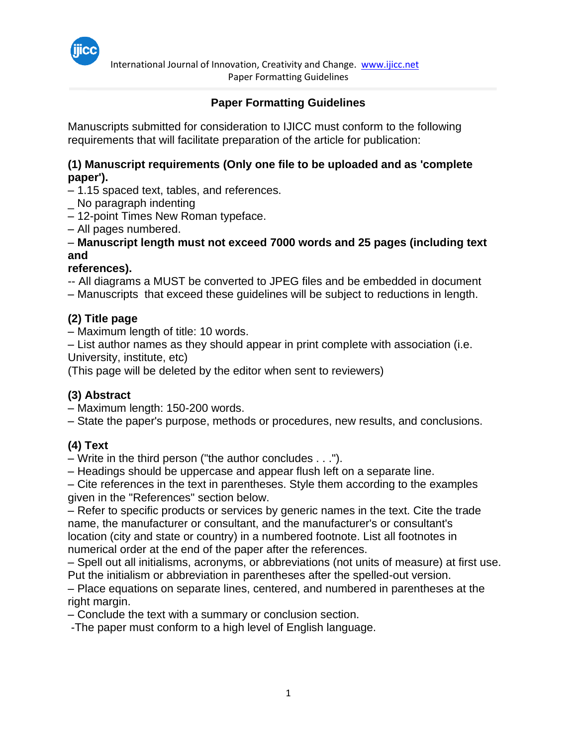

 International Journal of Innovation, Creativity and Change. [www.ijicc.net](http://www.ijicc.net/) Paper Formatting Guidelines

# **Paper Formatting Guidelines**

Manuscripts submitted for consideration to IJICC must conform to the following requirements that will facilitate preparation of the article for publication:

#### **(1) Manuscript requirements (Only one file to be uploaded and as 'complete paper').**

– 1.15 spaced text, tables, and references.

- \_ No paragraph indenting
- 12-point Times New Roman typeface.
- All pages numbered.

#### – **Manuscript length must not exceed 7000 words and 25 pages (including text and**

#### **references).**

-- All diagrams a MUST be converted to JPEG files and be embedded in document

– Manuscripts that exceed these guidelines will be subject to reductions in length.

## **(2) Title page**

– Maximum length of title: 10 words.

– List author names as they should appear in print complete with association (i.e.

University, institute, etc)

(This page will be deleted by the editor when sent to reviewers)

## **(3) Abstract**

- Maximum length: 150-200 words.
- State the paper's purpose, methods or procedures, new results, and conclusions.

## **(4) Text**

– Write in the third person ("the author concludes . . .").

– Headings should be uppercase and appear flush left on a separate line.

– Cite references in the text in parentheses. Style them according to the examples given in the "References" section below.

– Refer to specific products or services by generic names in the text. Cite the trade name, the manufacturer or consultant, and the manufacturer's or consultant's location (city and state or country) in a numbered footnote. List all footnotes in numerical order at the end of the paper after the references.

– Spell out all initialisms, acronyms, or abbreviations (not units of measure) at first use. Put the initialism or abbreviation in parentheses after the spelled-out version.

– Place equations on separate lines, centered, and numbered in parentheses at the right margin.

– Conclude the text with a summary or conclusion section.

-The paper must conform to a high level of English language.